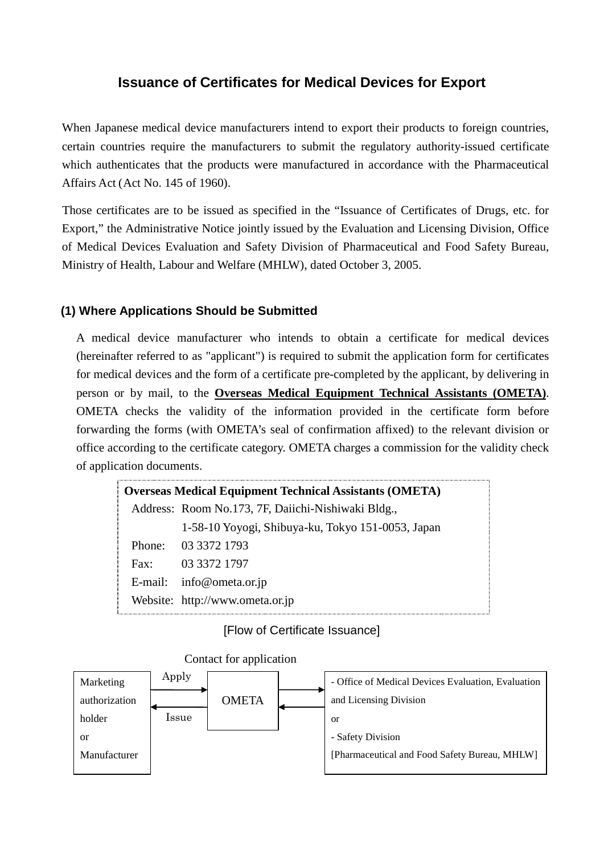# **Issuance of Certificates for Medical Devices for Export**

When Japanese medical device manufacturers intend to export their products to foreign countries, certain countries require the manufacturers to submit the regulatory authority-issued certificate which authenticates that the products were manufactured in accordance with the Pharmaceutical Affairs Act (Act No. 145 of 1960).

Those certificates are to be issued as specified in the "Issuance of Certificates of Drugs, etc. for Export," the Administrative Notice jointly issued by the Evaluation and Licensing Division, Office of Medical Devices Evaluation and Safety Division of Pharmaceutical and Food Safety Bureau, Ministry of Health, Labour and Welfare (MHLW), dated October 3, 2005.

## **(1) Where Applications Should be Submitted**

A medical device manufacturer who intends to obtain a certificate for medical devices (hereinafter referred to as "applicant") is required to submit the application form for certificates for medical devices and the form of a certificate pre-completed by the applicant, by delivering in person or by mail, to the **Overseas Medical Equipment Technical Assistants (OMETA)**. OMETA checks the validity of the information provided in the certificate form before forwarding the forms (with OMETA's seal of confirmation affixed) to the relevant division or office according to the certificate category. OMETA charges a commission for the validity check of application documents.

| <b>Overseas Medical Equipment Technical Assistants (OMETA)</b> |  |
|----------------------------------------------------------------|--|
| Address: Room No.173, 7F, Daiichi-Nishiwaki Bldg.,             |  |
| 1-58-10 Yoyogi, Shibuya-ku, Tokyo 151-0053, Japan              |  |
| 03 3372 1793                                                   |  |
| 03 3372 1797                                                   |  |
| E-mail: $info@ometa.$                                          |  |
| Website: http://www.ometa.or.jp                                |  |
|                                                                |  |

### [Flow of Certificate Issuance]